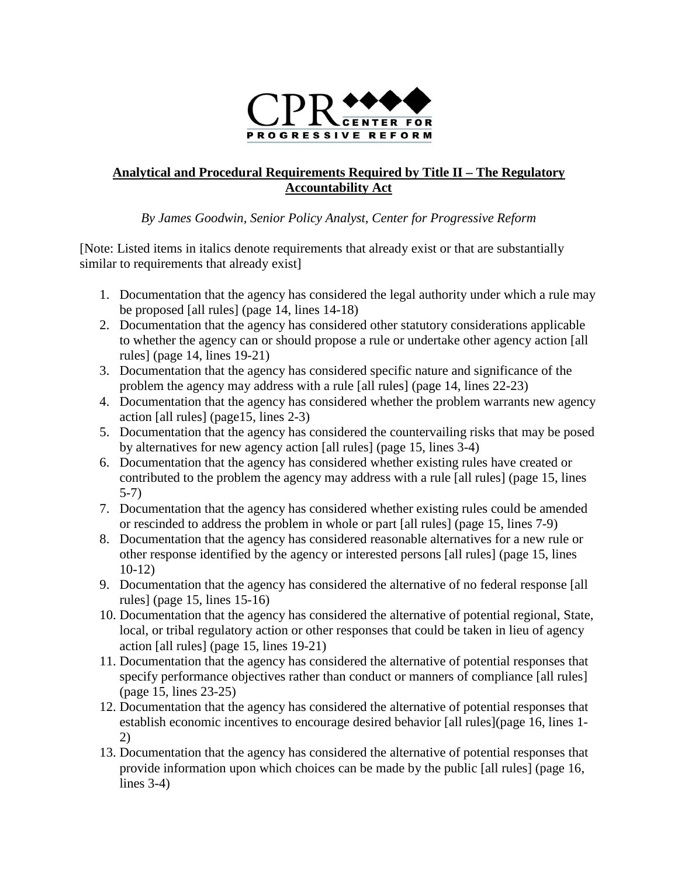

## **Analytical and Procedural Requirements Required by Title II – The Regulatory Accountability Act**

## *By James Goodwin, Senior Policy Analyst, Center for Progressive Reform*

[Note: Listed items in italics denote requirements that already exist or that are substantially similar to requirements that already exist]

- 1. Documentation that the agency has considered the legal authority under which a rule may be proposed [all rules] (page 14, lines 14-18)
- 2. Documentation that the agency has considered other statutory considerations applicable to whether the agency can or should propose a rule or undertake other agency action [all rules] (page 14, lines 19-21)
- 3. Documentation that the agency has considered specific nature and significance of the problem the agency may address with a rule [all rules] (page 14, lines 22-23)
- 4. Documentation that the agency has considered whether the problem warrants new agency action [all rules] (page15, lines 2-3)
- 5. Documentation that the agency has considered the countervailing risks that may be posed by alternatives for new agency action [all rules] (page 15, lines 3-4)
- 6. Documentation that the agency has considered whether existing rules have created or contributed to the problem the agency may address with a rule [all rules] (page 15, lines 5-7)
- 7. Documentation that the agency has considered whether existing rules could be amended or rescinded to address the problem in whole or part [all rules] (page 15, lines 7-9)
- 8. Documentation that the agency has considered reasonable alternatives for a new rule or other response identified by the agency or interested persons [all rules] (page 15, lines 10-12)
- 9. Documentation that the agency has considered the alternative of no federal response [all rules] (page 15, lines 15-16)
- 10. Documentation that the agency has considered the alternative of potential regional, State, local, or tribal regulatory action or other responses that could be taken in lieu of agency action [all rules] (page 15, lines 19-21)
- 11. Documentation that the agency has considered the alternative of potential responses that specify performance objectives rather than conduct or manners of compliance [all rules] (page 15, lines 23-25)
- 12. Documentation that the agency has considered the alternative of potential responses that establish economic incentives to encourage desired behavior [all rules](page 16, lines 1- 2)
- 13. Documentation that the agency has considered the alternative of potential responses that provide information upon which choices can be made by the public [all rules] (page 16, lines 3-4)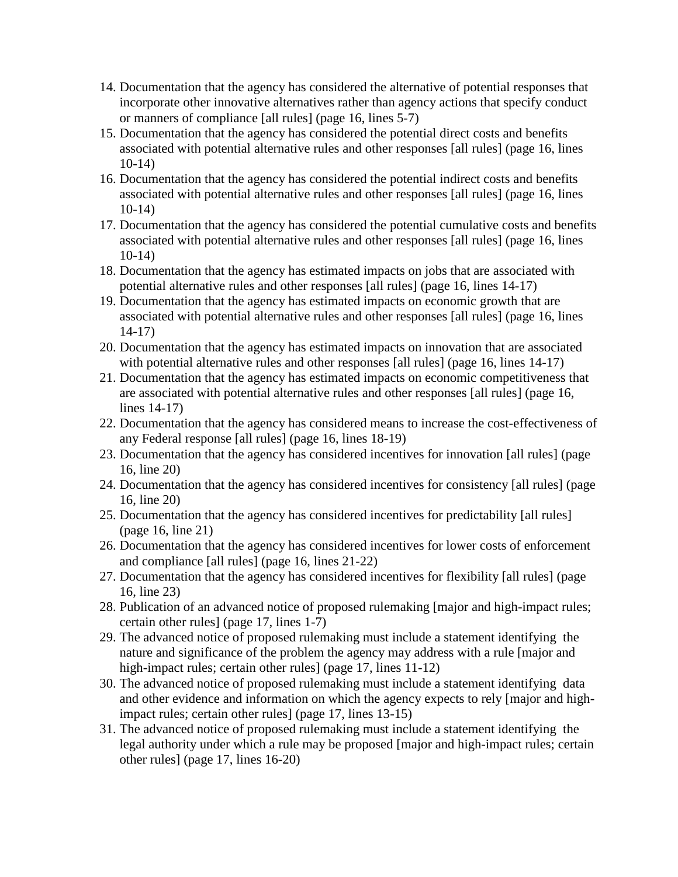- 14. Documentation that the agency has considered the alternative of potential responses that incorporate other innovative alternatives rather than agency actions that specify conduct or manners of compliance [all rules] (page 16, lines 5-7)
- 15. Documentation that the agency has considered the potential direct costs and benefits associated with potential alternative rules and other responses [all rules] (page 16, lines 10-14)
- 16. Documentation that the agency has considered the potential indirect costs and benefits associated with potential alternative rules and other responses [all rules] (page 16, lines 10-14)
- 17. Documentation that the agency has considered the potential cumulative costs and benefits associated with potential alternative rules and other responses [all rules] (page 16, lines 10-14)
- 18. Documentation that the agency has estimated impacts on jobs that are associated with potential alternative rules and other responses [all rules] (page 16, lines 14-17)
- 19. Documentation that the agency has estimated impacts on economic growth that are associated with potential alternative rules and other responses [all rules] (page 16, lines 14-17)
- 20. Documentation that the agency has estimated impacts on innovation that are associated with potential alternative rules and other responses [all rules] (page 16, lines 14-17)
- 21. Documentation that the agency has estimated impacts on economic competitiveness that are associated with potential alternative rules and other responses [all rules] (page 16, lines 14-17)
- 22. Documentation that the agency has considered means to increase the cost-effectiveness of any Federal response [all rules] (page 16, lines 18-19)
- 23. Documentation that the agency has considered incentives for innovation [all rules] (page 16, line 20)
- 24. Documentation that the agency has considered incentives for consistency [all rules] (page 16, line 20)
- 25. Documentation that the agency has considered incentives for predictability [all rules] (page 16, line 21)
- 26. Documentation that the agency has considered incentives for lower costs of enforcement and compliance [all rules] (page 16, lines 21-22)
- 27. Documentation that the agency has considered incentives for flexibility [all rules] (page 16, line 23)
- 28. Publication of an advanced notice of proposed rulemaking [major and high-impact rules; certain other rules] (page 17, lines 1-7)
- 29. The advanced notice of proposed rulemaking must include a statement identifying the nature and significance of the problem the agency may address with a rule [major and high-impact rules; certain other rules] (page 17, lines 11-12)
- 30. The advanced notice of proposed rulemaking must include a statement identifying data and other evidence and information on which the agency expects to rely [major and highimpact rules; certain other rules] (page 17, lines 13-15)
- 31. The advanced notice of proposed rulemaking must include a statement identifying the legal authority under which a rule may be proposed [major and high-impact rules; certain other rules] (page 17, lines 16-20)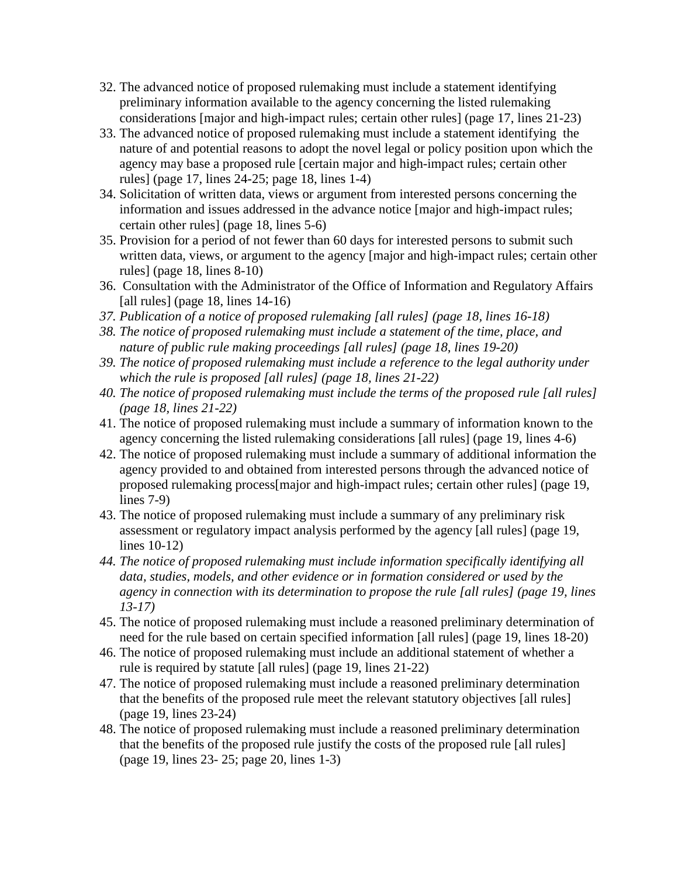- 32. The advanced notice of proposed rulemaking must include a statement identifying preliminary information available to the agency concerning the listed rulemaking considerations [major and high-impact rules; certain other rules] (page 17, lines 21-23)
- 33. The advanced notice of proposed rulemaking must include a statement identifying the nature of and potential reasons to adopt the novel legal or policy position upon which the agency may base a proposed rule [certain major and high-impact rules; certain other rules] (page 17, lines 24-25; page 18, lines 1-4)
- 34. Solicitation of written data, views or argument from interested persons concerning the information and issues addressed in the advance notice [major and high-impact rules; certain other rules] (page 18, lines 5-6)
- 35. Provision for a period of not fewer than 60 days for interested persons to submit such written data, views, or argument to the agency [major and high-impact rules; certain other rules] (page 18, lines 8-10)
- 36. Consultation with the Administrator of the Office of Information and Regulatory Affairs [all rules] (page 18, lines 14-16)
- *37. Publication of a notice of proposed rulemaking [all rules] (page 18, lines 16-18)*
- *38. The notice of proposed rulemaking must include a statement of the time, place, and nature of public rule making proceedings [all rules] (page 18, lines 19-20)*
- *39. The notice of proposed rulemaking must include a reference to the legal authority under which the rule is proposed [all rules] (page 18, lines 21-22)*
- *40. The notice of proposed rulemaking must include the terms of the proposed rule [all rules] (page 18, lines 21-22)*
- 41. The notice of proposed rulemaking must include a summary of information known to the agency concerning the listed rulemaking considerations [all rules] (page 19, lines 4-6)
- 42. The notice of proposed rulemaking must include a summary of additional information the agency provided to and obtained from interested persons through the advanced notice of proposed rulemaking process[major and high-impact rules; certain other rules] (page 19, lines 7-9)
- 43. The notice of proposed rulemaking must include a summary of any preliminary risk assessment or regulatory impact analysis performed by the agency [all rules] (page 19, lines 10-12)
- *44. The notice of proposed rulemaking must include information specifically identifying all data, studies, models, and other evidence or in formation considered or used by the agency in connection with its determination to propose the rule [all rules] (page 19, lines 13-17)*
- 45. The notice of proposed rulemaking must include a reasoned preliminary determination of need for the rule based on certain specified information [all rules] (page 19, lines 18-20)
- 46. The notice of proposed rulemaking must include an additional statement of whether a rule is required by statute [all rules] (page 19, lines 21-22)
- 47. The notice of proposed rulemaking must include a reasoned preliminary determination that the benefits of the proposed rule meet the relevant statutory objectives [all rules] (page 19, lines 23-24)
- 48. The notice of proposed rulemaking must include a reasoned preliminary determination that the benefits of the proposed rule justify the costs of the proposed rule [all rules] (page 19, lines 23- 25; page 20, lines 1-3)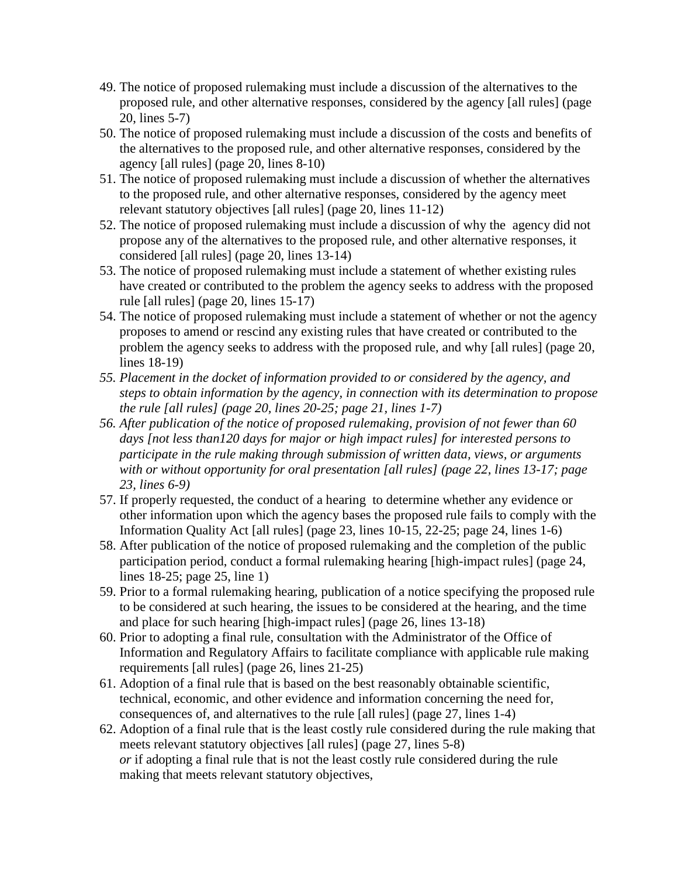- 49. The notice of proposed rulemaking must include a discussion of the alternatives to the proposed rule, and other alternative responses, considered by the agency [all rules] (page 20, lines 5-7)
- 50. The notice of proposed rulemaking must include a discussion of the costs and benefits of the alternatives to the proposed rule, and other alternative responses, considered by the agency [all rules] (page 20, lines 8-10)
- 51. The notice of proposed rulemaking must include a discussion of whether the alternatives to the proposed rule, and other alternative responses, considered by the agency meet relevant statutory objectives [all rules] (page 20, lines 11-12)
- 52. The notice of proposed rulemaking must include a discussion of why the agency did not propose any of the alternatives to the proposed rule, and other alternative responses, it considered [all rules] (page 20, lines 13-14)
- 53. The notice of proposed rulemaking must include a statement of whether existing rules have created or contributed to the problem the agency seeks to address with the proposed rule [all rules] (page 20, lines 15-17)
- 54. The notice of proposed rulemaking must include a statement of whether or not the agency proposes to amend or rescind any existing rules that have created or contributed to the problem the agency seeks to address with the proposed rule, and why [all rules] (page 20, lines 18-19)
- *55. Placement in the docket of information provided to or considered by the agency, and steps to obtain information by the agency, in connection with its determination to propose the rule [all rules] (page 20, lines 20-25; page 21, lines 1-7)*
- *56. After publication of the notice of proposed rulemaking, provision of not fewer than 60 days [not less than120 days for major or high impact rules] for interested persons to participate in the rule making through submission of written data, views, or arguments with or without opportunity for oral presentation [all rules] (page 22, lines 13-17; page 23, lines 6-9)*
- 57. If properly requested, the conduct of a hearing to determine whether any evidence or other information upon which the agency bases the proposed rule fails to comply with the Information Quality Act [all rules] (page 23, lines 10-15, 22-25; page 24, lines 1-6)
- 58. After publication of the notice of proposed rulemaking and the completion of the public participation period, conduct a formal rulemaking hearing [high-impact rules] (page 24, lines 18-25; page 25, line 1)
- 59. Prior to a formal rulemaking hearing, publication of a notice specifying the proposed rule to be considered at such hearing, the issues to be considered at the hearing, and the time and place for such hearing [high-impact rules] (page 26, lines 13-18)
- 60. Prior to adopting a final rule, consultation with the Administrator of the Office of Information and Regulatory Affairs to facilitate compliance with applicable rule making requirements [all rules] (page 26, lines 21-25)
- 61. Adoption of a final rule that is based on the best reasonably obtainable scientific, technical, economic, and other evidence and information concerning the need for, consequences of, and alternatives to the rule [all rules] (page 27, lines 1-4)
- 62. Adoption of a final rule that is the least costly rule considered during the rule making that meets relevant statutory objectives [all rules] (page 27, lines 5-8) *or* if adopting a final rule that is not the least costly rule considered during the rule making that meets relevant statutory objectives,